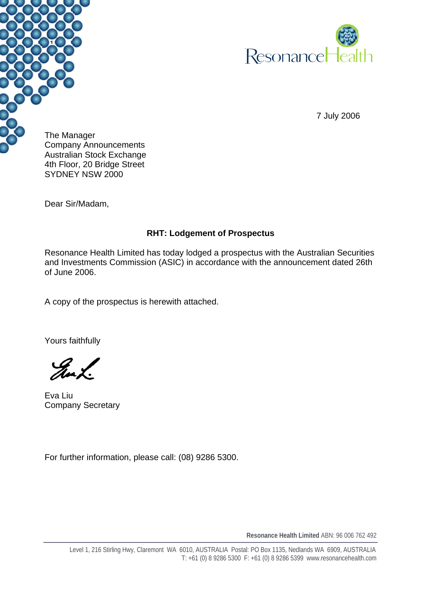



7 July 2006

The Manager Company Announcements Australian Stock Exchange 4th Floor, 20 Bridge Street SYDNEY NSW 2000

Dear Sir/Madam,

# **RHT: Lodgement of Prospectus**

Resonance Health Limited has today lodged a prospectus with the Australian Securities and Investments Commission (ASIC) in accordance with the announcement dated 26th of June 2006.

A copy of the prospectus is herewith attached.

Yours faithfully

Sur L.

Eva Liu Company Secretary

For further information, please call: (08) 9286 5300.

**Resonance Health Limited** ABN: 96 006 762 492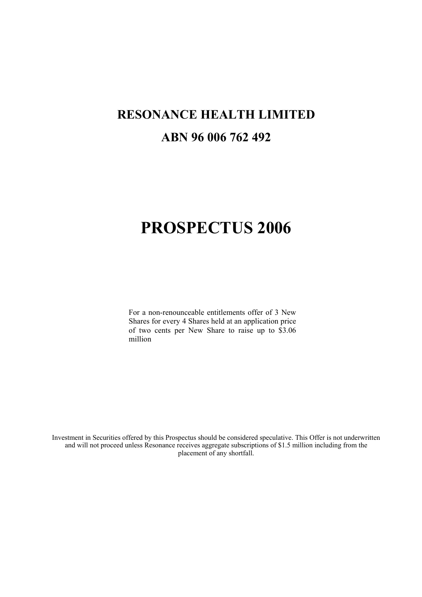# **RESONANCE HEALTH LIMITED ABN 96 006 762 492**

# **PROSPECTUS 2006**

For a non-renounceable entitlements offer of 3 New Shares for every 4 Shares held at an application price of two cents per New Share to raise up to \$3.06 million

Investment in Securities offered by this Prospectus should be considered speculative. This Offer is not underwritten and will not proceed unless Resonance receives aggregate subscriptions of \$1.5 million including from the placement of any shortfall.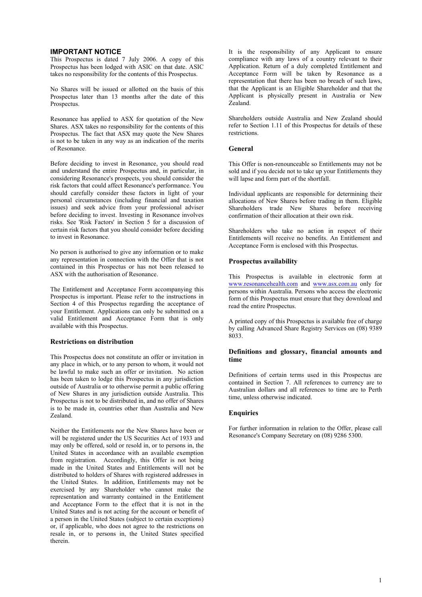#### **IMPORTANT NOTICE**

This Prospectus is dated 7 July 2006. A copy of this Prospectus has been lodged with ASIC on that date. ASIC takes no responsibility for the contents of this Prospectus.

No Shares will be issued or allotted on the basis of this Prospectus later than 13 months after the date of this Prospectus.

Resonance has applied to ASX for quotation of the New Shares. ASX takes no responsibility for the contents of this Prospectus. The fact that ASX may quote the New Shares is not to be taken in any way as an indication of the merits of Resonance.

Before deciding to invest in Resonance, you should read and understand the entire Prospectus and, in particular, in considering Resonance's prospects, you should consider the risk factors that could affect Resonance's performance. You should carefully consider these factors in light of your personal circumstances (including financial and taxation issues) and seek advice from your professional adviser before deciding to invest. Investing in Resonance involves risks. See 'Risk Factors' in Section 5 for a discussion of certain risk factors that you should consider before deciding to invest in Resonance.

No person is authorised to give any information or to make any representation in connection with the Offer that is not contained in this Prospectus or has not been released to ASX with the authorisation of Resonance.

The Entitlement and Acceptance Form accompanying this Prospectus is important. Please refer to the instructions in Section 4 of this Prospectus regarding the acceptance of your Entitlement. Applications can only be submitted on a valid Entitlement and Acceptance Form that is only available with this Prospectus.

#### **Restrictions on distribution**

This Prospectus does not constitute an offer or invitation in any place in which, or to any person to whom, it would not be lawful to make such an offer or invitation. No action has been taken to lodge this Prospectus in any jurisdiction outside of Australia or to otherwise permit a public offering of New Shares in any jurisdiction outside Australia. This Prospectus is not to be distributed in, and no offer of Shares is to be made in, countries other than Australia and New Zealand.

Neither the Entitlements nor the New Shares have been or will be registered under the US Securities Act of 1933 and may only be offered, sold or resold in, or to persons in, the United States in accordance with an available exemption from registration. Accordingly, this Offer is not being made in the United States and Entitlements will not be distributed to holders of Shares with registered addresses in the United States. In addition, Entitlements may not be exercised by any Shareholder who cannot make the representation and warranty contained in the Entitlement and Acceptance Form to the effect that it is not in the United States and is not acting for the account or benefit of a person in the United States (subject to certain exceptions) or, if applicable, who does not agree to the restrictions on resale in, or to persons in, the United States specified therein.

It is the responsibility of any Applicant to ensure compliance with any laws of a country relevant to their Application. Return of a duly completed Entitlement and Acceptance Form will be taken by Resonance as a representation that there has been no breach of such laws, that the Applicant is an Eligible Shareholder and that the Applicant is physically present in Australia or New Zealand.

Shareholders outside Australia and New Zealand should refer to Section 1.11 of this Prospectus for details of these restrictions.

#### **General**

This Offer is non-renounceable so Entitlements may not be sold and if you decide not to take up your Entitlements they will lapse and form part of the shortfall.

Individual applicants are responsible for determining their allocations of New Shares before trading in them. Eligible Shareholders trade New Shares before receiving confirmation of their allocation at their own risk.

Shareholders who take no action in respect of their Entitlements will receive no benefits. An Entitlement and Acceptance Form is enclosed with this Prospectus.

#### **Prospectus availability**

This Prospectus is available in electronic form at www.resonancehealth.com and www.asx.com.au only for persons within Australia. Persons who access the electronic form of this Prospectus must ensure that they download and read the entire Prospectus.

A printed copy of this Prospectus is available free of charge by calling Advanced Share Registry Services on (08) 9389 8033.

#### **Definitions and glossary, financial amounts and time**

Definitions of certain terms used in this Prospectus are contained in Section 7. All references to currency are to Australian dollars and all references to time are to Perth time, unless otherwise indicated.

#### **Enquiries**

For further information in relation to the Offer, please call Resonance's Company Secretary on (08) 9286 5300.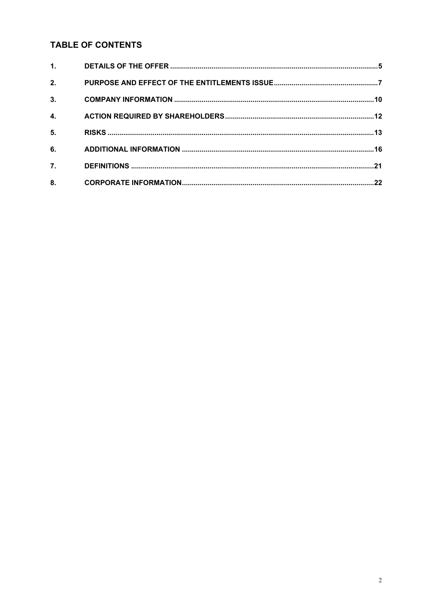# **TABLE OF CONTENTS**

| 1.               |  |
|------------------|--|
| 2.               |  |
| 3.               |  |
| 4.               |  |
| 5.               |  |
| 6.               |  |
| $\overline{7}$ . |  |
| 8.               |  |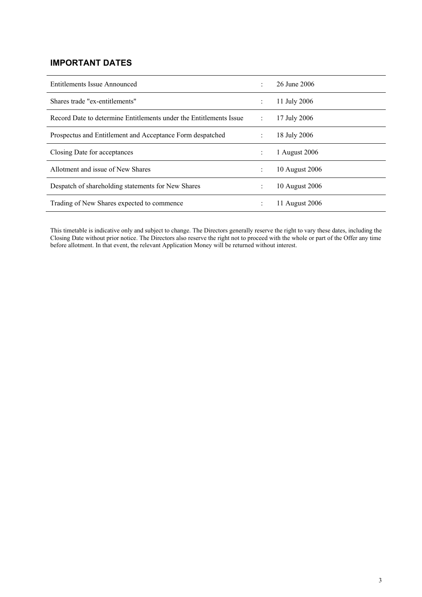# **IMPORTANT DATES**

| Entitlements Issue Announced                                       |    | 26 June 2006   |
|--------------------------------------------------------------------|----|----------------|
| Shares trade "ex-entitlements"                                     | ÷. | 11 July 2006   |
| Record Date to determine Entitlements under the Entitlements Issue | ÷. | 17 July 2006   |
| Prospectus and Entitlement and Acceptance Form despatched          | ÷. | 18 July 2006   |
| Closing Date for acceptances                                       |    | 1 August 2006  |
| Allotment and issue of New Shares                                  |    | 10 August 2006 |
| Despatch of shareholding statements for New Shares                 |    | 10 August 2006 |
| Trading of New Shares expected to commence                         |    | 11 August 2006 |
|                                                                    |    |                |

This timetable is indicative only and subject to change. The Directors generally reserve the right to vary these dates, including the Closing Date without prior notice. The Directors also reserve the right not to proceed with the whole or part of the Offer any time before allotment. In that event, the relevant Application Money will be returned without interest.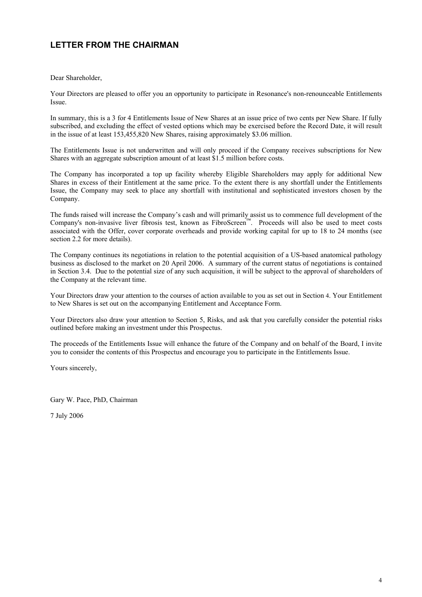# **LETTER FROM THE CHAIRMAN**

Dear Shareholder,

Your Directors are pleased to offer you an opportunity to participate in Resonance's non-renounceable Entitlements Issue.

In summary, this is a 3 for 4 Entitlements Issue of New Shares at an issue price of two cents per New Share. If fully subscribed, and excluding the effect of vested options which may be exercised before the Record Date, it will result in the issue of at least 153,455,820 New Shares, raising approximately \$3.06 million.

The Entitlements Issue is not underwritten and will only proceed if the Company receives subscriptions for New Shares with an aggregate subscription amount of at least \$1.5 million before costs.

The Company has incorporated a top up facility whereby Eligible Shareholders may apply for additional New Shares in excess of their Entitlement at the same price. To the extent there is any shortfall under the Entitlements Issue, the Company may seek to place any shortfall with institutional and sophisticated investors chosen by the Company.

The funds raised will increase the Company's cash and will primarily assist us to commence full development of the Company's non-invasive liver fibrosis test, known as FibroScreen™. Proceeds will also be used to meet costs associated with the Offer, cover corporate overheads and provide working capital for up to 18 to 24 months (see section 2.2 for more details).

The Company continues its negotiations in relation to the potential acquisition of a US-based anatomical pathology business as disclosed to the market on 20 April 2006. A summary of the current status of negotiations is contained in Section 3.4. Due to the potential size of any such acquisition, it will be subject to the approval of shareholders of the Company at the relevant time.

Your Directors draw your attention to the courses of action available to you as set out in Section 4. Your Entitlement to New Shares is set out on the accompanying Entitlement and Acceptance Form.

Your Directors also draw your attention to Section 5, Risks, and ask that you carefully consider the potential risks outlined before making an investment under this Prospectus.

The proceeds of the Entitlements Issue will enhance the future of the Company and on behalf of the Board, I invite you to consider the contents of this Prospectus and encourage you to participate in the Entitlements Issue.

Yours sincerely,

Gary W. Pace, PhD, Chairman

7 July 2006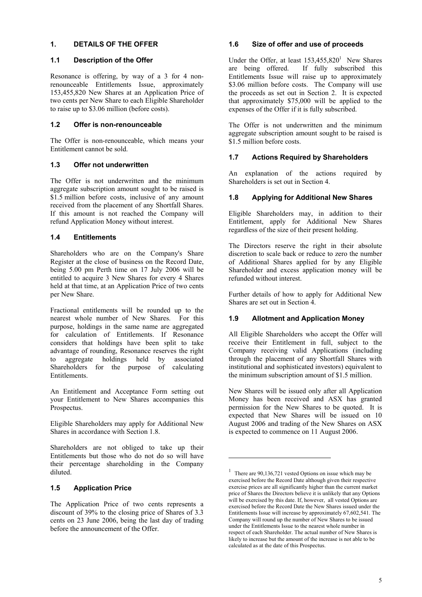#### **1. DETAILS OF THE OFFER**

## **1.1 Description of the Offer**

Resonance is offering, by way of a 3 for 4 nonrenounceable Entitlements Issue, approximately 153,455,820 New Shares at an Application Price of two cents per New Share to each Eligible Shareholder to raise up to \$3.06 million (before costs).

#### **1.2 Offer is non-renounceable**

The Offer is non-renounceable, which means your Entitlement cannot be sold.

#### **1.3 Offer not underwritten**

The Offer is not underwritten and the minimum aggregate subscription amount sought to be raised is \$1.5 million before costs, inclusive of any amount received from the placement of any Shortfall Shares. If this amount is not reached the Company will refund Application Money without interest.

# **1.4 Entitlements**

Shareholders who are on the Company's Share Register at the close of business on the Record Date, being 5.00 pm Perth time on 17 July 2006 will be entitled to acquire 3 New Shares for every 4 Shares held at that time, at an Application Price of two cents per New Share.

Fractional entitlements will be rounded up to the nearest whole number of New Shares. For this purpose, holdings in the same name are aggregated for calculation of Entitlements. If Resonance considers that holdings have been split to take advantage of rounding, Resonance reserves the right to aggregate holdings held by associated Shareholders for the purpose of calculating Entitlements.

An Entitlement and Acceptance Form setting out your Entitlement to New Shares accompanies this Prospectus.

Eligible Shareholders may apply for Additional New Shares in accordance with Section 1.8.

Shareholders are not obliged to take up their Entitlements but those who do not do so will have their percentage shareholding in the Company diluted.

#### **1.5 Application Price**

The Application Price of two cents represents a discount of 39% to the closing price of Shares of 3.3 cents on 23 June 2006, being the last day of trading before the announcement of the Offer.

#### **1.6 Size of offer and use of proceeds**

Under the Offer, at least  $153,455,820<sup>1</sup>$  New Shares are being offered. If fully subscribed this Entitlements Issue will raise up to approximately \$3.06 million before costs. The Company will use the proceeds as set out in Section 2. It is expected that approximately \$75,000 will be applied to the expenses of the Offer if it is fully subscribed.

The Offer is not underwritten and the minimum aggregate subscription amount sought to be raised is \$1.5 million before costs.

# **1.7 Actions Required by Shareholders**

An explanation of the actions required by Shareholders is set out in Section 4.

#### **1.8 Applying for Additional New Shares**

Eligible Shareholders may, in addition to their Entitlement, apply for Additional New Shares regardless of the size of their present holding.

The Directors reserve the right in their absolute discretion to scale back or reduce to zero the number of Additional Shares applied for by any Eligible Shareholder and excess application money will be refunded without interest.

Further details of how to apply for Additional New Shares are set out in Section 4.

# **1.9 Allotment and Application Money**

All Eligible Shareholders who accept the Offer will receive their Entitlement in full, subject to the Company receiving valid Applications (including through the placement of any Shortfall Shares with institutional and sophisticated investors) equivalent to the minimum subscription amount of \$1.5 million.

New Shares will be issued only after all Application Money has been received and ASX has granted permission for the New Shares to be quoted. It is expected that New Shares will be issued on 10 August 2006 and trading of the New Shares on ASX is expected to commence on 11 August 2006.

 $\overline{\phantom{a}}$ 

<sup>&</sup>lt;sup>1</sup> There are 90,136,721 vested Options on issue which may be exercised before the Record Date although given their respective exercise prices are all significantly higher than the current market price of Shares the Directors believe it is unlikely that any Options will be exercised by this date. If, however, all vested Options are exercised before the Record Date the New Shares issued under the Entitlements Issue will increase by approximately 67,602,541. The Company will round up the number of New Shares to be issued under the Entitlements Issue to the nearest whole number in respect of each Shareholder. The actual number of New Shares is likely to increase but the amount of the increase is not able to be calculated as at the date of this Prospectus.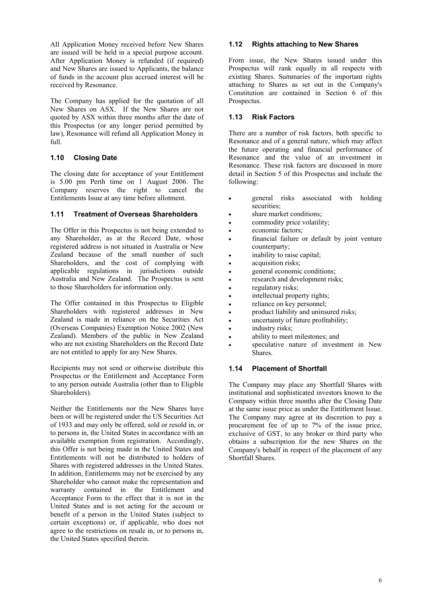All Application Money received before New Shares are issued will be held in a special purpose account. After Application Money is refunded (if required) and New Shares are issued to Applicants, the balance of funds in the account plus accrued interest will be received by Resonance.

The Company has applied for the quotation of all New Shares on ASX. If the New Shares are not quoted by ASX within three months after the date of this Prospectus (or any longer period permitted by law), Resonance will refund all Application Money in full.

# **1.10 Closing Date**

The closing date for acceptance of your Entitlement is 5.00 pm Perth time on 1 August 2006. The Company reserves the right to cancel the Entitlements Issue at any time before allotment.

# **1.11 Treatment of Overseas Shareholders**

The Offer in this Prospectus is not being extended to any Shareholder, as at the Record Date, whose registered address is not situated in Australia or New Zealand because of the small number of such Shareholders, and the cost of complying with applicable regulations in jurisdictions outside Australia and New Zealand. The Prospectus is sent to those Shareholders for information only.

The Offer contained in this Prospectus to Eligible Shareholders with registered addresses in New Zealand is made in reliance on the Securities Act (Overseas Companies) Exemption Notice 2002 (New Zealand). Members of the public in New Zealand who are not existing Shareholders on the Record Date are not entitled to apply for any New Shares.

Recipients may not send or otherwise distribute this Prospectus or the Entitlement and Acceptance Form to any person outside Australia (other than to Eligible Shareholders).

Neither the Entitlements nor the New Shares have been or will be registered under the US Securities Act of 1933 and may only be offered, sold or resold in, or to persons in, the United States in accordance with an available exemption from registration. Accordingly, this Offer is not being made in the United States and Entitlements will not be distributed to holders of Shares with registered addresses in the United States. In addition, Entitlements may not be exercised by any Shareholder who cannot make the representation and warranty contained in the Entitlement and Acceptance Form to the effect that it is not in the United States and is not acting for the account or benefit of a person in the United States (subject to certain exceptions) or, if applicable, who does not agree to the restrictions on resale in, or to persons in, the United States specified therein.

# **1.12 Rights attaching to New Shares**

From issue, the New Shares issued under this Prospectus will rank equally in all respects with existing Shares. Summaries of the important rights attaching to Shares as set out in the Company's Constitution are contained in Section 6 of this Prospectus.

# **1.13 Risk Factors**

There are a number of risk factors, both specific to Resonance and of a general nature, which may affect the future operating and financial performance of Resonance and the value of an investment in Resonance. These risk factors are discussed in more detail in Section 5 of this Prospectus and include the following:

- general risks associated with holding securities;
- share market conditions;
- commodity price volatility;
- economic factors;
- financial failure or default by joint venture counterparty;
- inability to raise capital;
- acquisition risks:
- general economic conditions;
- research and development risks;
- regulatory risks;
- intellectual property rights;
- reliance on key personnel;
- product liability and uninsured risks;
- uncertainty of future profitability;
- industry risks;
- ability to meet milestones; and
- speculative nature of investment in New Shares.

# **1.14 Placement of Shortfall**

The Company may place any Shortfall Shares with institutional and sophisticated investors known to the Company within three months after the Closing Date at the same issue price as under the Entitlement Issue. The Company may agree at its discretion to pay a procurement fee of up to 7% of the issue price, exclusive of GST, to any broker or third party who obtains a subscription for the new Shares on the Company's behalf in respect of the placement of any Shortfall Shares.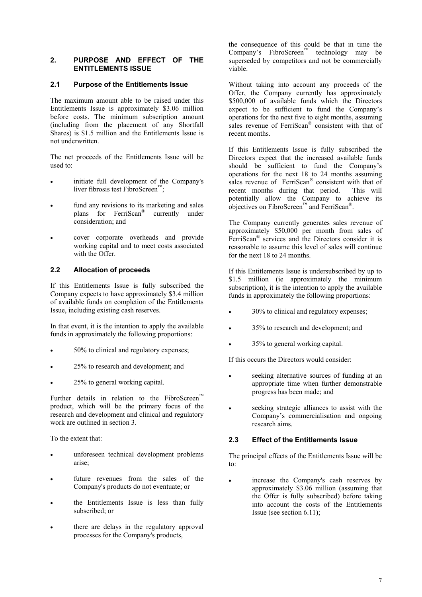#### **2. PURPOSE AND EFFECT OF THE ENTITLEMENTS ISSUE**

#### **2.1 Purpose of the Entitlements Issue**

The maximum amount able to be raised under this Entitlements Issue is approximately \$3.06 million before costs. The minimum subscription amount (including from the placement of any Shortfall Shares) is \$1.5 million and the Entitlements Issue is not underwritten.

The net proceeds of the Entitlements Issue will be used to:

- initiate full development of the Company's liver fibrosis test FibroScreen™;
- fund any revisions to its marketing and sales<br>plans for FerriScan<sup>®</sup> currently under plans for FerriScan<sup>®</sup> consideration; and
- cover corporate overheads and provide working capital and to meet costs associated with the Offer

#### **2.2 Allocation of proceeds**

If this Entitlements Issue is fully subscribed the Company expects to have approximately \$3.4 million of available funds on completion of the Entitlements Issue, including existing cash reserves.

In that event, it is the intention to apply the available funds in approximately the following proportions:

- 50% to clinical and regulatory expenses;
- 25% to research and development; and
- 25% to general working capital.

Further details in relation to the FibroScreen<sup>™</sup> product, which will be the primary focus of the research and development and clinical and regulatory work are outlined in section 3.

To the extent that:

- unforeseen technical development problems arise;
- future revenues from the sales of the Company's products do not eventuate; or
- the Entitlements Issue is less than fully subscribed; or
- there are delays in the regulatory approval processes for the Company's products,

the consequence of this could be that in time the Company's FibroScreen™ technology may be superseded by competitors and not be commercially viable.

Without taking into account any proceeds of the Offer, the Company currently has approximately \$500,000 of available funds which the Directors expect to be sufficient to fund the Company's operations for the next five to eight months, assuming sales revenue of FerriScan® consistent with that of recent months.

If this Entitlements Issue is fully subscribed the Directors expect that the increased available funds should be sufficient to fund the Company's operations for the next 18 to 24 months assuming sales revenue of FerriScan® consistent with that of recent months during that period. This will potentially allow the Company to achieve its objectives on FibroScreen™ and FerriScan®.

The Company currently generates sales revenue of approximately \$50,000 per month from sales of FerriScan® services and the Directors consider it is reasonable to assume this level of sales will continue for the next 18 to 24 months.

If this Entitlements Issue is undersubscribed by up to \$1.5 million (ie approximately the minimum subscription), it is the intention to apply the available funds in approximately the following proportions:

- 30% to clinical and regulatory expenses;
- 35% to research and development; and
- 35% to general working capital.

If this occurs the Directors would consider:

- seeking alternative sources of funding at an appropriate time when further demonstrable progress has been made; and
- seeking strategic alliances to assist with the Company's commercialisation and ongoing research aims.

#### **2.3 Effect of the Entitlements Issue**

The principal effects of the Entitlements Issue will be to:

increase the Company's cash reserves by approximately \$3.06 million (assuming that the Offer is fully subscribed) before taking into account the costs of the Entitlements Issue (see section 6.11);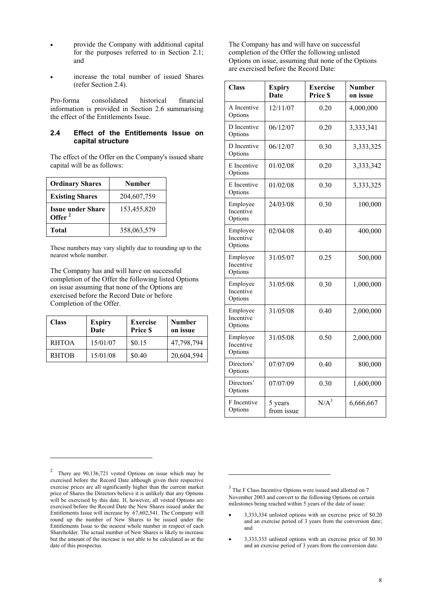- provide the Company with additional capital for the purposes referred to in Section 2.1; and
- increase the total number of issued Shares (refer Section 2.4).

Pro-forma consolidated historical financial information is provided in Section 2.6 summarising the effect of the Entitlements Issue.

#### **2.4 Effect of the Entitlements Issue on capital structure**

The effect of the Offer on the Company's issued share capital will be as follows:

| <b>Ordinary Shares</b>                         | <b>Number</b> |
|------------------------------------------------|---------------|
| <b>Existing Shares</b>                         | 204,607,759   |
| <b>Issue under Share</b><br>Offer <sup>2</sup> | 153,455,820   |
| <b>Total</b>                                   | 358,063,579   |

These numbers may vary slightly due to rounding up to the nearest whole number.

The Company has and will have on successful completion of the Offer the following listed Options on issue assuming that none of the Options are exercised before the Record Date or before Completion of the Offer.

| <b>Class</b> | <b>Expiry</b><br><b>Date</b> | <b>Exercise</b><br><b>Price S</b> | <b>Number</b><br>on issue |
|--------------|------------------------------|-----------------------------------|---------------------------|
| <b>RHTOA</b> | 15/01/07                     | \$0.15                            | 47,798,794                |
| <b>RHTOB</b> | 15/01/08                     | \$0.40                            | 20,604,594                |

The Company has and will have on successful completion of the Offer the following unlisted Options on issue, assuming that none of the Options are exercised before the Record Date:

| <b>Class</b>                     | <b>Expiry</b><br><b>Date</b> | <b>Exercise</b><br>Price \$ | <b>Number</b><br>on issue |
|----------------------------------|------------------------------|-----------------------------|---------------------------|
| A Incentive<br>Options           | 12/11/07                     | 0.20                        | 4,000,000                 |
| D Incentive<br>Options           | 06/12/07                     | 0.20                        | 3,333,341                 |
| D Incentive<br>Options           | 06/12/07                     | 0.30                        | 3,333,325                 |
| E Incentive<br>Options           | 01/02/08                     | 0.20                        | 3,333,342                 |
| E Incentive<br>Options           | 01/02/08                     | 0.30                        | 3,333,325                 |
| Employee<br>Incentive<br>Options | 24/03/08                     | 0.30                        | 100,000                   |
| Employee<br>Incentive<br>Options | 02/04/08                     | 0.40                        | 400,000                   |
| Employee<br>Incentive<br>Options | 31/05/07                     | 0.25                        | 500,000                   |
| Employee<br>Incentive<br>Options | 31/05/08                     | 0.30                        | 1,000,000                 |
| Employee<br>Incentive<br>Options | 31/05/08                     | 0.40                        | 2,000,000                 |
| Employee<br>Incentive<br>Options | 31/05/08                     | 0.50                        | 2,000,000                 |
| Directors'<br>Options            | 07/07/09                     | 0.40                        | 800,000                   |
| Directors'<br>Options            | 07/07/09                     | 0.30                        | 1,600,000                 |
| F Incentive<br>Options           | 5 years<br>from issue        | N/A <sup>3</sup>            | 6,666,667                 |

 $\overline{\phantom{a}}$ 

 $\overline{\phantom{a}}$ 

<sup>&</sup>lt;sup>2</sup> There are  $90,136,721$  vested Options on issue which may be exercised before the Record Date although given their respective exercise prices are all significantly higher than the current market price of Shares the Directors believe it is unlikely that any Options will be exercised by this date. If, however, all vested Options are exercised before the Record Date the New Shares issued under the Entitlements Issue will increase by 67,602,541. The Company will round up the number of New Shares to be issued under the Entitlements Issue to the nearest whole number in respect of each Shareholder. The actual number of New Shares is likely to increase but the amount of the increase is not able to be calculated as at the date of this prospectus.

 $3$  The F Class Incentive Options were issued and allotted on  $7$ November 2003 and convert to the following Options on certain milestones being reached within 5 years of the date of issue:

<sup>•</sup> 3,333,334 unlisted options with an exercise price of \$0.20 and an exercise period of 3 years from the conversion date; and

<sup>•</sup> 3,333,333 unlisted options with an exercise price of \$0.30 and an exercise period of 3 years from the conversion date.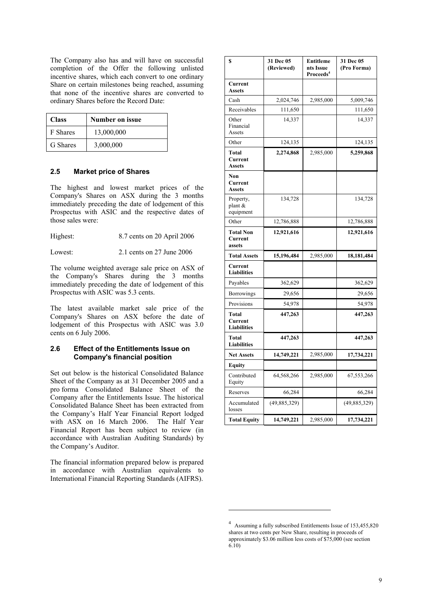The Company also has and will have on successful completion of the Offer the following unlisted incentive shares, which each convert to one ordinary Share on certain milestones being reached, assuming that none of the incentive shares are converted to ordinary Shares before the Record Date:

| <b>Class</b>    | Number on issue |
|-----------------|-----------------|
| <b>F</b> Shares | 13,000,000      |
| G Shares        | 3,000,000       |

#### **2.5 Market price of Shares**

The highest and lowest market prices of the Company's Shares on ASX during the 3 months immediately preceding the date of lodgement of this Prospectus with ASIC and the respective dates of those sales were:

| 8.7 cents on 20 April 2006 |
|----------------------------|
|                            |

Lowest: 2.1 cents on 27 June 2006

The volume weighted average sale price on ASX of the Company's Shares during the 3 months immediately preceding the date of lodgement of this Prospectus with ASIC was 5.3 cents.

The latest available market sale price of the Company's Shares on ASX before the date of lodgement of this Prospectus with ASIC was 3.0 cents on 6 July 2006.

#### **2.6 Effect of the Entitlements Issue on Company's financial position**

Set out below is the historical Consolidated Balance Sheet of the Company as at 31 December 2005 and a pro forma Consolidated Balance Sheet of the Company after the Entitlements Issue. The historical Consolidated Balance Sheet has been extracted from the Company's Half Year Financial Report lodged with ASX on 16 March 2006. The Half Year Financial Report has been subject to review (in accordance with Australian Auditing Standards) by the Company's Auditor.

The financial information prepared below is prepared in accordance with Australian equivalents to International Financial Reporting Standards (AIFRS).

| \$                                     | 31 Dec 05<br>(Reviewed) | Entitleme<br>nts Issue<br>Proceeds <sup>4</sup> | 31 Dec 05<br>(Pro Forma) |
|----------------------------------------|-------------------------|-------------------------------------------------|--------------------------|
| Current<br><b>Assets</b>               |                         |                                                 |                          |
| Cash                                   | 2,024,746               | 2,985,000                                       | 5,009,746                |
| Receivables                            | 111,650                 |                                                 | 111,650                  |
| Other<br>Financial<br>Assets           | 14,337                  |                                                 | 14,337                   |
| Other                                  | 124,135                 |                                                 | 124,135                  |
| Total<br>Current<br><b>Assets</b>      | 2,274,868               | 2,985,000                                       | 5,259,868                |
| Non<br>Current<br><b>Assets</b>        |                         |                                                 |                          |
| Property,<br>plant &<br>equipment      | 134,728                 |                                                 | 134,728                  |
| Other                                  | 12,786,888              |                                                 | 12,786,888               |
| <b>Total Non</b><br>Current<br>assets  | 12,921,616              |                                                 | 12,921,616               |
| <b>Total Assets</b>                    | 15,196,484              | 2,985,000                                       | 18,181,484               |
| Current<br><b>Liabilities</b>          |                         |                                                 |                          |
| Payables                               | 362,629                 |                                                 | 362,629                  |
| <b>Borrowings</b>                      | 29,656                  |                                                 | 29,656                   |
| Provisions                             | 54,978                  |                                                 | 54,978                   |
| Total<br>Current<br><b>Liabilities</b> | 447,263                 |                                                 | 447,263                  |
| <b>Total</b><br><b>Liabilities</b>     | 447,263                 |                                                 | 447,263                  |
| <b>Net Assets</b>                      | 14,749,221              | 2,985,000                                       | 17,734,221               |
| <b>Equity</b>                          |                         |                                                 |                          |
| Contributed<br>Equity                  | 64,568,266              | 2,985,000                                       | 67,553,266               |
| Reserves                               | 66,284                  |                                                 | 66,284                   |
| Accumulated<br>losses                  | (49, 885, 329)          |                                                 | (49, 885, 329)           |
| <b>Total Equity</b>                    | 14,749,221              | 2,985,000                                       | 17,734,221               |

 $\overline{\phantom{a}}$ 

<sup>4</sup> Assuming a fully subscribed Entitlements Issue of 153,455,820 shares at two cents per New Share, resulting in proceeds of approximately \$3.06 million less costs of \$75,000 (see section 6.10)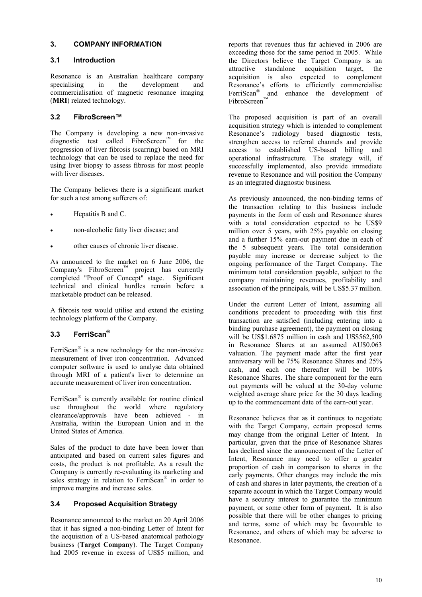#### **3. COMPANY INFORMATION**

#### **3.1 Introduction**

Resonance is an Australian healthcare company specialising in the development and commercialisation of magnetic resonance imaging (**MRI**) related technology.

# **3.2 FibroScreen™**

The Company is developing a new non-invasive diagnostic test called FibroScreen™ for the progression of liver fibrosis (scarring) based on MRI technology that can be used to replace the need for using liver biopsy to assess fibrosis for most people with liver diseases.

The Company believes there is a significant market for such a test among sufferers of:

- Hepatitis B and C.
- non-alcoholic fatty liver disease; and
- other causes of chronic liver disease.

As announced to the market on 6 June 2006, the Company's FibroScreen™ project has currently completed "Proof of Concept" stage. Significant technical and clinical hurdles remain before a marketable product can be released.

A fibrosis test would utilise and extend the existing technology platform of the Company.

# **3.3 FerriScan®**

FerriScan<sup>®</sup> is a new technology for the non-invasive measurement of liver iron concentration. Advanced computer software is used to analyse data obtained through MRI of a patient's liver to determine an accurate measurement of liver iron concentration.

FerriScan® is currently available for routine clinical use throughout the world where regulatory clearance/approvals have been achieved - in Australia, within the European Union and in the United States of America.

Sales of the product to date have been lower than anticipated and based on current sales figures and costs, the product is not profitable. As a result the Company is currently re-evaluating its marketing and sales strategy in relation to FerriScan® in order to improve margins and increase sales.

# **3.4 Proposed Acquisition Strategy**

Resonance announced to the market on 20 April 2006 that it has signed a non-binding Letter of Intent for the acquisition of a US-based anatomical pathology business (**Target Company**). The Target Company had 2005 revenue in excess of US\$5 million, and

reports that revenues thus far achieved in 2006 are exceeding those for the same period in 2005. While the Directors believe the Target Company is an attractive standalone acquisition target, the acquisition is also expected to complement Resonance's efforts to efficiently commercialise FerriScan® and enhance the development of FibroScreen™

The proposed acquisition is part of an overall acquisition strategy which is intended to complement Resonance's radiology based diagnostic tests, strengthen access to referral channels and provide access to established US-based billing and operational infrastructure. The strategy will, if successfully implemented, also provide immediate revenue to Resonance and will position the Company as an integrated diagnostic business.

As previously announced, the non-binding terms of the transaction relating to this business include payments in the form of cash and Resonance shares with a total consideration expected to be US\$9 million over 5 years, with 25% payable on closing and a further 15% earn-out payment due in each of the 5 subsequent years. The total consideration payable may increase or decrease subject to the ongoing performance of the Target Company. The minimum total consideration payable, subject to the company maintaining revenues, profitability and association of the principals, will be US\$5.37 million.

Under the current Letter of Intent, assuming all conditions precedent to proceeding with this first transaction are satisfied (including entering into a binding purchase agreement), the payment on closing will be US\$1.6875 million in cash and US\$562.500 in Resonance Shares at an assumed AU\$0.063 valuation. The payment made after the first year anniversary will be 75% Resonance Shares and 25% cash, and each one thereafter will be 100% Resonance Shares. The share component for the earn out payments will be valued at the 30-day volume weighted average share price for the 30 days leading up to the commencement date of the earn-out year.

Resonance believes that as it continues to negotiate with the Target Company, certain proposed terms may change from the original Letter of Intent. In particular, given that the price of Resonance Shares has declined since the announcement of the Letter of Intent, Resonance may need to offer a greater proportion of cash in comparison to shares in the early payments. Other changes may include the mix of cash and shares in later payments, the creation of a separate account in which the Target Company would have a security interest to guarantee the minimum payment, or some other form of payment. It is also possible that there will be other changes to pricing and terms, some of which may be favourable to Resonance, and others of which may be adverse to Resonance.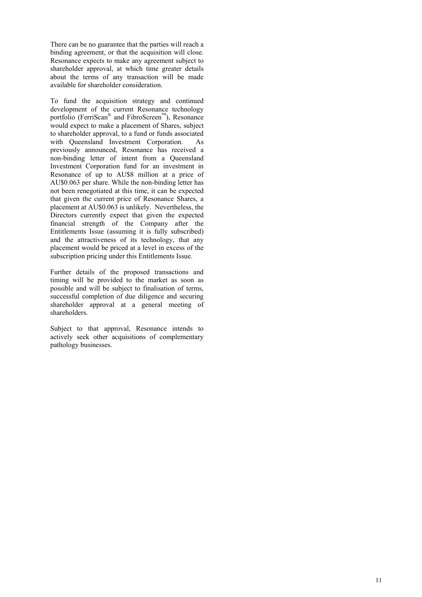There can be no guarantee that the parties will reach a binding agreement, or that the acquisition will close. Resonance expects to make any agreement subject to shareholder approval, at which time greater details about the terms of any transaction will be made available for shareholder consideration.

To fund the acquisition strategy and continued development of the current Resonance technology portfolio (FerriScan® and FibroScreen™), Resonance would expect to make a placement of Shares, subject to shareholder approval, to a fund or funds associated with Queensland Investment Corporation. As previously announced, Resonance has received a non-binding letter of intent from a Queensland Investment Corporation fund for an investment in Resonance of up to AU\$8 million at a price of AU\$0.063 per share. While the non-binding letter has not been renegotiated at this time, it can be expected that given the current price of Resonance Shares, a placement at AU\$0.063 is unlikely. Nevertheless, the Directors currently expect that given the expected financial strength of the Company after the Entitlements Issue (assuming it is fully subscribed) and the attractiveness of its technology, that any placement would be priced at a level in excess of the subscription pricing under this Entitlements Issue.

Further details of the proposed transactions and timing will be provided to the market as soon as possible and will be subject to finalisation of terms, successful completion of due diligence and securing shareholder approval at a general meeting of shareholders.

Subject to that approval, Resonance intends to actively seek other acquisitions of complementary pathology businesses.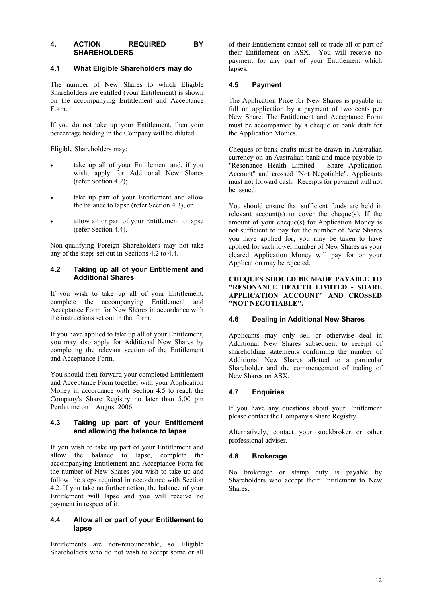# **4. ACTION REQUIRED BY SHAREHOLDERS**

# **4.1 What Eligible Shareholders may do**

The number of New Shares to which Eligible Shareholders are entitled (your Entitlement) is shown on the accompanying Entitlement and Acceptance Form.

If you do not take up your Entitlement, then your percentage holding in the Company will be diluted.

Eligible Shareholders may:

- take up all of your Entitlement and, if you wish, apply for Additional New Shares (refer Section 4.2);
- take up part of your Entitlement and allow the balance to lapse (refer Section 4.3); or
- allow all or part of your Entitlement to lapse (refer Section 4.4).

Non-qualifying Foreign Shareholders may not take any of the steps set out in Sections 4.2 to 4.4.

#### **4.2 Taking up all of your Entitlement and Additional Shares**

If you wish to take up all of your Entitlement, complete the accompanying Entitlement and Acceptance Form for New Shares in accordance with the instructions set out in that form.

If you have applied to take up all of your Entitlement, you may also apply for Additional New Shares by completing the relevant section of the Entitlement and Acceptance Form.

You should then forward your completed Entitlement and Acceptance Form together with your Application Money in accordance with Section 4.5 to reach the Company's Share Registry no later than 5.00 pm Perth time on 1 August 2006.

# **4.3 Taking up part of your Entitlement and allowing the balance to lapse**

If you wish to take up part of your Entitlement and allow the balance to lapse, complete the accompanying Entitlement and Acceptance Form for the number of New Shares you wish to take up and follow the steps required in accordance with Section 4.2. If you take no further action, the balance of your Entitlement will lapse and you will receive no payment in respect of it.

#### **4.4 Allow all or part of your Entitlement to lapse**

Entitlements are non-renounceable, so Eligible Shareholders who do not wish to accept some or all

of their Entitlement cannot sell or trade all or part of their Entitlement on ASX. You will receive no payment for any part of your Entitlement which lapses.

# **4.5 Payment**

The Application Price for New Shares is payable in full on application by a payment of two cents per New Share. The Entitlement and Acceptance Form must be accompanied by a cheque or bank draft for the Application Monies.

Cheques or bank drafts must be drawn in Australian currency on an Australian bank and made payable to "Resonance Health Limited - Share Application Account" and crossed "Not Negotiable". Applicants must not forward cash. Receipts for payment will not be issued.

You should ensure that sufficient funds are held in relevant account(s) to cover the cheque(s). If the amount of your cheque(s) for Application Money is not sufficient to pay for the number of New Shares you have applied for, you may be taken to have applied for such lower number of New Shares as your cleared Application Money will pay for or your Application may be rejected.

#### **CHEQUES SHOULD BE MADE PAYABLE TO "RESONANCE HEALTH LIMITED - SHARE APPLICATION ACCOUNT" AND CROSSED "NOT NEGOTIABLE".**

# **4.6 Dealing in Additional New Shares**

Applicants may only sell or otherwise deal in Additional New Shares subsequent to receipt of shareholding statements confirming the number of Additional New Shares allotted to a particular Shareholder and the commencement of trading of New Shares on ASX.

# **4.7 Enquiries**

If you have any questions about your Entitlement please contact the Company's Share Registry.

Alternatively, contact your stockbroker or other professional adviser.

# **4.8 Brokerage**

No brokerage or stamp duty is payable by Shareholders who accept their Entitlement to New **Shares**.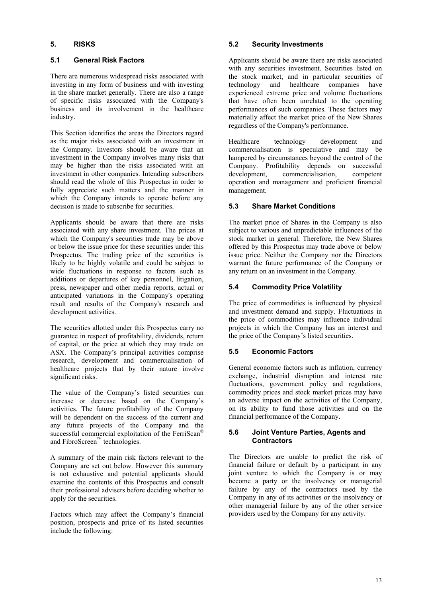# **5. RISKS**

# **5.1 General Risk Factors**

There are numerous widespread risks associated with investing in any form of business and with investing in the share market generally. There are also a range of specific risks associated with the Company's business and its involvement in the healthcare industry.

This Section identifies the areas the Directors regard as the major risks associated with an investment in the Company. Investors should be aware that an investment in the Company involves many risks that may be higher than the risks associated with an investment in other companies. Intending subscribers should read the whole of this Prospectus in order to fully appreciate such matters and the manner in which the Company intends to operate before any decision is made to subscribe for securities.

Applicants should be aware that there are risks associated with any share investment. The prices at which the Company's securities trade may be above or below the issue price for these securities under this Prospectus. The trading price of the securities is likely to be highly volatile and could be subject to wide fluctuations in response to factors such as additions or departures of key personnel, litigation, press, newspaper and other media reports, actual or anticipated variations in the Company's operating result and results of the Company's research and development activities.

The securities allotted under this Prospectus carry no guarantee in respect of profitability, dividends, return of capital, or the price at which they may trade on ASX. The Company's principal activities comprise research, development and commercialisation of healthcare projects that by their nature involve significant risks.

The value of the Company's listed securities can increase or decrease based on the Company's activities. The future profitability of the Company will be dependent on the success of the current and any future projects of the Company and the successful commercial exploitation of the FerriScan<sup>®</sup> and FibroScreen™ technologies.

A summary of the main risk factors relevant to the Company are set out below. However this summary is not exhaustive and potential applicants should examine the contents of this Prospectus and consult their professional advisers before deciding whether to apply for the securities.

Factors which may affect the Company's financial position, prospects and price of its listed securities include the following:

# **5.2 Security Investments**

Applicants should be aware there are risks associated with any securities investment. Securities listed on the stock market, and in particular securities of<br>technology and healthcare companies have and healthcare companies have experienced extreme price and volume fluctuations that have often been unrelated to the operating performances of such companies. These factors may materially affect the market price of the New Shares regardless of the Company's performance.

Healthcare technology development and commercialisation is speculative and may be hampered by circumstances beyond the control of the Company. Profitability depends on successful development, commercialisation, competent operation and management and proficient financial management.

# **5.3 Share Market Conditions**

The market price of Shares in the Company is also subject to various and unpredictable influences of the stock market in general. Therefore, the New Shares offered by this Prospectus may trade above or below issue price. Neither the Company nor the Directors warrant the future performance of the Company or any return on an investment in the Company.

# **5.4 Commodity Price Volatility**

The price of commodities is influenced by physical and investment demand and supply. Fluctuations in the price of commodities may influence individual projects in which the Company has an interest and the price of the Company's listed securities.

# **5.5 Economic Factors**

General economic factors such as inflation, currency exchange, industrial disruption and interest rate fluctuations, government policy and regulations, commodity prices and stock market prices may have an adverse impact on the activities of the Company, on its ability to fund those activities and on the financial performance of the Company.

#### **5.6 Joint Venture Parties, Agents and Contractors**

The Directors are unable to predict the risk of financial failure or default by a participant in any joint venture to which the Company is or may become a party or the insolvency or managerial failure by any of the contractors used by the Company in any of its activities or the insolvency or other managerial failure by any of the other service providers used by the Company for any activity.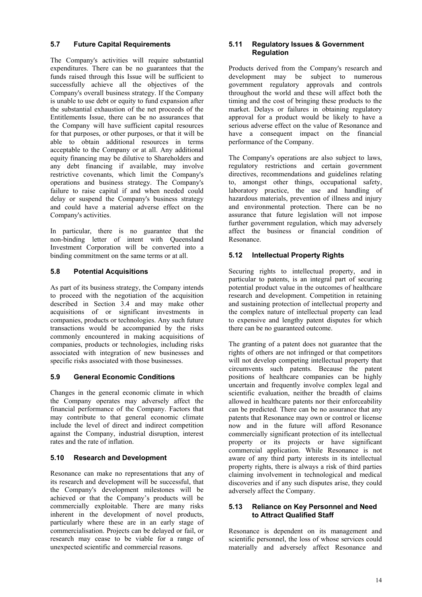# **5.7 Future Capital Requirements**

The Company's activities will require substantial expenditures. There can be no guarantees that the funds raised through this Issue will be sufficient to successfully achieve all the objectives of the Company's overall business strategy. If the Company is unable to use debt or equity to fund expansion after the substantial exhaustion of the net proceeds of the Entitlements Issue, there can be no assurances that the Company will have sufficient capital resources for that purposes, or other purposes, or that it will be able to obtain additional resources in terms acceptable to the Company or at all. Any additional equity financing may be dilutive to Shareholders and any debt financing if available, may involve restrictive covenants, which limit the Company's operations and business strategy. The Company's failure to raise capital if and when needed could delay or suspend the Company's business strategy and could have a material adverse effect on the Company's activities.

In particular, there is no guarantee that the non-binding letter of intent with Queensland Investment Corporation will be converted into a binding commitment on the same terms or at all.

# **5.8 Potential Acquisitions**

As part of its business strategy, the Company intends to proceed with the negotiation of the acquisition described in Section 3.4 and may make other acquisitions of or significant investments in companies, products or technologies. Any such future transactions would be accompanied by the risks commonly encountered in making acquisitions of companies, products or technologies, including risks associated with integration of new businesses and specific risks associated with those businesses.

# **5.9 General Economic Conditions**

Changes in the general economic climate in which the Company operates may adversely affect the financial performance of the Company. Factors that may contribute to that general economic climate include the level of direct and indirect competition against the Company, industrial disruption, interest rates and the rate of inflation.

# **5.10 Research and Development**

Resonance can make no representations that any of its research and development will be successful, that the Company's development milestones will be achieved or that the Company's products will be commercially exploitable. There are many risks inherent in the development of novel products, particularly where these are in an early stage of commercialisation. Projects can be delayed or fail, or research may cease to be viable for a range of unexpected scientific and commercial reasons.

## **5.11 Regulatory Issues & Government Regulation**

Products derived from the Company's research and development may be subject to numerous government regulatory approvals and controls throughout the world and these will affect both the timing and the cost of bringing these products to the market. Delays or failures in obtaining regulatory approval for a product would be likely to have a serious adverse effect on the value of Resonance and have a consequent impact on the financial performance of the Company.

The Company's operations are also subject to laws, regulatory restrictions and certain government directives, recommendations and guidelines relating to, amongst other things, occupational safety, laboratory practice, the use and handling of hazardous materials, prevention of illness and injury and environmental protection. There can be no assurance that future legislation will not impose further government regulation, which may adversely affect the business or financial condition of Resonance.

# **5.12 Intellectual Property Rights**

Securing rights to intellectual property, and in particular to patents, is an integral part of securing potential product value in the outcomes of healthcare research and development. Competition in retaining and sustaining protection of intellectual property and the complex nature of intellectual property can lead to expensive and lengthy patent disputes for which there can be no guaranteed outcome.

The granting of a patent does not guarantee that the rights of others are not infringed or that competitors will not develop competing intellectual property that circumvents such patents. Because the patent positions of healthcare companies can be highly uncertain and frequently involve complex legal and scientific evaluation, neither the breadth of claims allowed in healthcare patents nor their enforceability can be predicted. There can be no assurance that any patents that Resonance may own or control or license now and in the future will afford Resonance commercially significant protection of its intellectual property or its projects or have significant commercial application. While Resonance is not aware of any third party interests in its intellectual property rights, there is always a risk of third parties claiming involvement in technological and medical discoveries and if any such disputes arise, they could adversely affect the Company.

# **5.13 Reliance on Key Personnel and Need to Attract Qualified Staff**

Resonance is dependent on its management and scientific personnel, the loss of whose services could materially and adversely affect Resonance and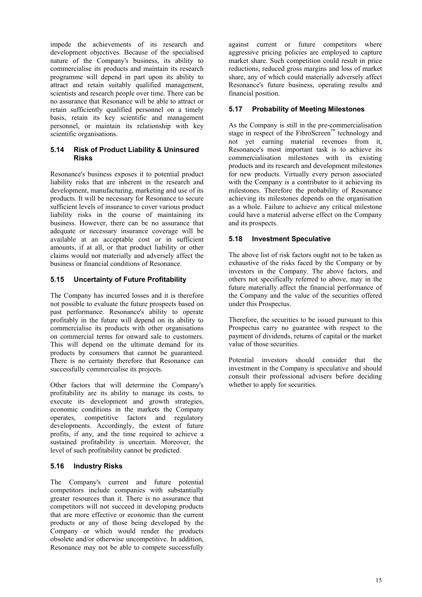impede the achievements of its research and development objectives. Because of the specialised nature of the Company's business, its ability to commercialise its products and maintain its research programme will depend in part upon its ability to attract and retain suitably qualified management, scientists and research people over time. There can be no assurance that Resonance will be able to attract or retain sufficiently qualified personnel on a timely basis, retain its key scientific and management personnel, or maintain its relationship with key scientific organisations.

#### **5.14 Risk of Product Liability & Uninsured Risks**

Resonance's business exposes it to potential product liability risks that are inherent in the research and development, manufacturing, marketing and use of its products. It will be necessary for Resonance to secure sufficient levels of insurance to cover various product liability risks in the course of maintaining its business. However, there can be no assurance that adequate or necessary insurance coverage will be available at an acceptable cost or in sufficient amounts, if at all, or that product liability or other claims would not materially and adversely affect the business or financial conditions of Resonance.

# **5.15 Uncertainty of Future Profitability**

The Company has incurred losses and it is therefore not possible to evaluate the future prospects based on past performance. Resonance's ability to operate profitably in the future will depend on its ability to commercialise its products with other organisations on commercial terms for onward sale to customers. This will depend on the ultimate demand for its products by consumers that cannot be guaranteed. There is no certainty therefore that Resonance can successfully commercialise its projects.

Other factors that will determine the Company's profitability are its ability to manage its costs, to execute its development and growth strategies, economic conditions in the markets the Company operates, competitive factors and regulatory developments. Accordingly, the extent of future profits, if any, and the time required to achieve a sustained profitability is uncertain. Moreover, the level of such profitability cannot be predicted.

# **5.16 Industry Risks**

The Company's current and future potential competitors include companies with substantially greater resources than it. There is no assurance that competitors will not succeed in developing products that are more effective or economic than the current products or any of those being developed by the Company or which would render the products obsolete and/or otherwise uncompetitive. In addition, Resonance may not be able to compete successfully against current or future competitors where aggressive pricing policies are employed to capture market share. Such competition could result in price reductions, reduced gross margins and loss of market share, any of which could materially adversely affect Resonance's future business, operating results and financial position.

# **5.17 Probability of Meeting Milestones**

As the Company is still in the pre-commercialisation stage in respect of the FibroScreen™ technology and not yet earning material revenues from it, Resonance's most important task is to achieve its commercialisation milestones with its existing products and its research and development milestones for new products. Virtually every person associated with the Company is a contributor to it achieving its milestones. Therefore the probability of Resonance achieving its milestones depends on the organisation as a whole. Failure to achieve any critical milestone could have a material adverse effect on the Company and its prospects.

# **5.18 Investment Speculative**

The above list of risk factors ought not to be taken as exhaustive of the risks faced by the Company or by investors in the Company. The above factors, and others not specifically referred to above, may in the future materially affect the financial performance of the Company and the value of the securities offered under this Prospectus.

Therefore, the securities to be issued pursuant to this Prospectus carry no guarantee with respect to the payment of dividends, returns of capital or the market value of those securities.

Potential investors should consider that the investment in the Company is speculative and should consult their professional advisers before deciding whether to apply for securities.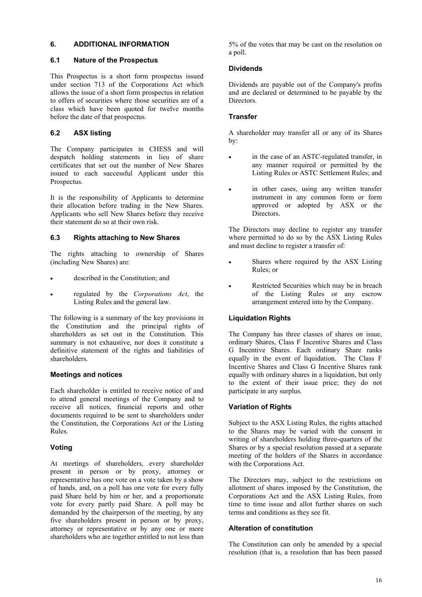## **6. ADDITIONAL INFORMATION**

# **6.1 Nature of the Prospectus**

This Prospectus is a short form prospectus issued under section 713 of the Corporations Act which allows the issue of a short form prospectus in relation to offers of securities where those securities are of a class which have been quoted for twelve months before the date of that prospectus.

# **6.2 ASX listing**

The Company participates in CHESS and will despatch holding statements in lieu of share certificates that set out the number of New Shares issued to each successful Applicant under this Prospectus.

It is the responsibility of Applicants to determine their allocation before trading in the New Shares. Applicants who sell New Shares before they receive their statement do so at their own risk.

#### **6.3 Rights attaching to New Shares**

The rights attaching to ownership of Shares (including New Shares) are:

- described in the Constitution; and
- regulated by the *Corporations Act*, the Listing Rules and the general law.

The following is a summary of the key provisions in the Constitution and the principal rights of shareholders as set out in the Constitution. This summary is not exhaustive, nor does it constitute a definitive statement of the rights and liabilities of shareholders.

# **Meetings and notices**

Each shareholder is entitled to receive notice of and to attend general meetings of the Company and to receive all notices, financial reports and other documents required to be sent to shareholders under the Constitution, the Corporations Act or the Listing Rules.

# **Voting**

At meetings of shareholders, every shareholder present in person or by proxy, attorney or representative has one vote on a vote taken by a show of hands, and, on a poll has one vote for every fully paid Share held by him or her, and a proportionate vote for every partly paid Share. A poll may be demanded by the chairperson of the meeting, by any five shareholders present in person or by proxy, attorney or representative or by any one or more shareholders who are together entitled to not less than

5% of the votes that may be cast on the resolution on a poll.

## **Dividends**

Dividends are payable out of the Company's profits and are declared or determined to be payable by the Directors.

#### **Transfer**

A shareholder may transfer all or any of its Shares by:

- in the case of an ASTC-regulated transfer, in any manner required or permitted by the Listing Rules or ASTC Settlement Rules; and
- in other cases, using any written transfer instrument in any common form or form approved or adopted by ASX or the Directors.

The Directors may decline to register any transfer where permitted to do so by the ASX Listing Rules and must decline to register a transfer of:

- Shares where required by the ASX Listing Rules; or
- Restricted Securities which may be in breach of the Listing Rules or any escrow arrangement entered into by the Company.

# **Liquidation Rights**

The Company has three classes of shares on issue, ordinary Shares, Class F Incentive Shares and Class G Incentive Shares. Each ordinary Share ranks equally in the event of liquidation. The Class F Incentive Shares and Class G Incentive Shares rank equally with ordinary shares in a liquidation, but only to the extent of their issue price; they do not participate in any surplus.

# **Variation of Rights**

Subject to the ASX Listing Rules, the rights attached to the Shares may be varied with the consent in writing of shareholders holding three-quarters of the Shares or by a special resolution passed at a separate meeting of the holders of the Shares in accordance with the Corporations Act.

The Directors may, subject to the restrictions on allotment of shares imposed by the Constitution, the Corporations Act and the ASX Listing Rules, from time to time issue and allot further shares on such terms and conditions as they see fit.

# **Alteration of constitution**

The Constitution can only be amended by a special resolution (that is, a resolution that has been passed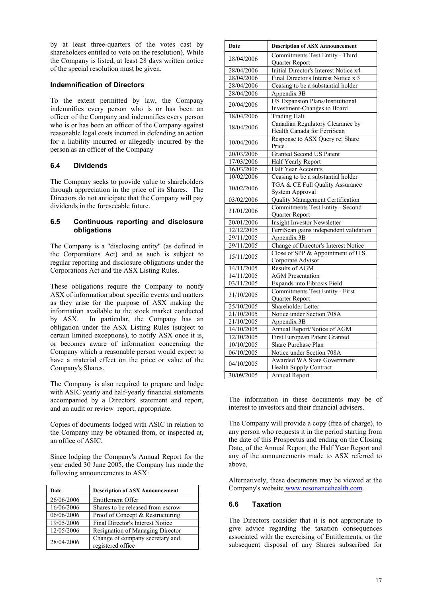by at least three-quarters of the votes cast by shareholders entitled to vote on the resolution). While the Company is listed, at least 28 days written notice of the special resolution must be given.

#### **Indemnification of Directors**

To the extent permitted by law, the Company indemnifies every person who is or has been an officer of the Company and indemnifies every person who is or has been an officer of the Company against reasonable legal costs incurred in defending an action for a liability incurred or allegedly incurred by the person as an officer of the Company

# **6.4 Dividends**

The Company seeks to provide value to shareholders through appreciation in the price of its Shares. The Directors do not anticipate that the Company will pay dividends in the foreseeable future.

#### **6.5 Continuous reporting and disclosure obligations**

The Company is a "disclosing entity" (as defined in the Corporations Act) and as such is subject to regular reporting and disclosure obligations under the Corporations Act and the ASX Listing Rules.

These obligations require the Company to notify ASX of information about specific events and matters as they arise for the purpose of ASX making the information available to the stock market conducted by ASX. In particular, the Company has an obligation under the ASX Listing Rules (subject to certain limited exceptions), to notify ASX once it is, or becomes aware of information concerning the Company which a reasonable person would expect to have a material effect on the price or value of the Company's Shares.

The Company is also required to prepare and lodge with ASIC yearly and half-yearly financial statements accompanied by a Directors' statement and report, and an audit or review report, appropriate.

Copies of documents lodged with ASIC in relation to the Company may be obtained from, or inspected at, an office of ASIC.

Since lodging the Company's Annual Report for the year ended 30 June 2005, the Company has made the following announcements to ASX:

| Date       | <b>Description of ASX Announcement</b>               |
|------------|------------------------------------------------------|
| 26/06/2006 | <b>Entitlement Offer</b>                             |
| 16/06/2006 | Shares to be released from escrow                    |
| 06/06/2006 | Proof of Concept & Restructuring                     |
| 19/05/2006 | Final Director's Interest Notice                     |
| 12/05/2006 | Resignation of Managing Director                     |
| 28/04/2006 | Change of company secretary and<br>registered office |

| Date       | <b>Description of ASX Announcement</b>  |
|------------|-----------------------------------------|
| 28/04/2006 | Commitments Test Entity - Third         |
|            | Quarter Report                          |
| 28/04/2006 | Initial Director's Interest Notice x4   |
| 28/04/2006 | Final Director's Interest Notice x 3    |
| 28/04/2006 | Ceasing to be a substantial holder      |
| 28/04/2006 | Appendix 3B                             |
| 20/04/2006 | <b>US Expansion Plans/Institutional</b> |
|            | <b>Investment-Changes to Board</b>      |
| 18/04/2006 | <b>Trading Halt</b>                     |
| 18/04/2006 | Canadian Regulatory Clearance by        |
|            | Health Canada for FerriScan             |
| 10/04/2006 | Response to ASX Query re: Share         |
|            | Price                                   |
| 20/03/2006 | Granted Second US Patent                |
| 17/03/2006 | <b>Half Yearly Report</b>               |
| 16/03/2006 | <b>Half Year Accounts</b>               |
| 10/02/2006 | Ceasing to be a substantial holder      |
| 10/02/2006 | TGA & CE Full Quality Assurance         |
|            | <b>System Approval</b>                  |
| 03/02/2006 | Quality Management Certification        |
| 31/01/2006 | Commitments Test Entity - Second        |
|            | Quarter Report                          |
| 20/01/2006 | <b>Insight Investor Newsletter</b>      |
| 12/12/2005 | FerriScan gains independent validation  |
| 29/11/2005 | Appendix 3B                             |
| 29/11/2005 | Change of Director's Interest Notice    |
| 15/11/2005 | Close of SPP & Appointment of U.S.      |
|            | Corporate Advisor                       |
| 14/11/2005 | <b>Results of AGM</b>                   |
| 14/11/2005 | <b>AGM</b> Presentation                 |
| 03/11/2005 | Expands into Fibrosis Field             |
| 31/10/2005 | Commitments Test Entity - First         |
|            | Quarter Report                          |
| 25/10/2005 | Shareholder Letter                      |
| 21/10/2005 | Notice under Section 708A               |
| 21/10/2005 | Appendix 3B                             |
| 14/10/2005 | Annual Report/Notice of AGM             |
| 12/10/2005 | First European Patent Granted           |
| 10/10/2005 | Share Purchase Plan                     |
| 06/10/2005 | Notice under Section 708A               |
| 04/10/2005 | Awarded WA State Government             |
|            | Health Supply Contract                  |
| 30/09/2005 | Annual Report                           |

The information in these documents may be of interest to investors and their financial advisers.

The Company will provide a copy (free of charge), to any person who requests it in the period starting from the date of this Prospectus and ending on the Closing Date, of the Annual Report, the Half Year Report and any of the announcements made to ASX referred to above.

Alternatively, these documents may be viewed at the Company's website www.resonancehealth.com.

# **6.6 Taxation**

The Directors consider that it is not appropriate to give advice regarding the taxation consequences associated with the exercising of Entitlements, or the subsequent disposal of any Shares subscribed for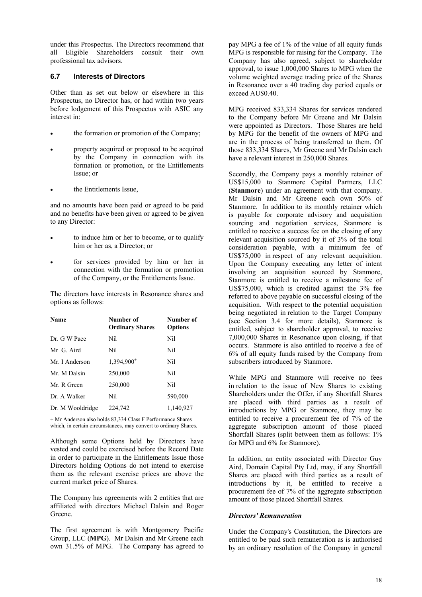under this Prospectus. The Directors recommend that all Eligible Shareholders consult their own professional tax advisors.

#### **6.7 Interests of Directors**

Other than as set out below or elsewhere in this Prospectus, no Director has, or had within two years before lodgement of this Prospectus with ASIC any interest in:

- the formation or promotion of the Company;
- property acquired or proposed to be acquired by the Company in connection with its formation or promotion, or the Entitlements Issue; or
- the Entitlements Issue,

and no amounts have been paid or agreed to be paid and no benefits have been given or agreed to be given to any Director:

- to induce him or her to become, or to qualify him or her as, a Director; or
- for services provided by him or her in connection with the formation or promotion of the Company, or the Entitlements Issue.

The directors have interests in Resonance shares and options as follows:

| Name             | Number of<br><b>Ordinary Shares</b> | Number of<br><b>Options</b> |
|------------------|-------------------------------------|-----------------------------|
| Dr. G W Pace     | Nil                                 | Nil                         |
| Mr G Aird        | Nil                                 | Nil                         |
| Mr. I Anderson   | 1,394,900 <sup>+</sup>              | Nil                         |
| Mr. M Dalsin     | 250,000                             | Nil                         |
| Mr. R Green      | 250,000                             | Nil                         |
| Dr. A Walker     | Nil                                 | 590,000                     |
| Dr. M Wooldridge | 224,742                             | 1,140,927                   |

+ Mr Anderson also holds 83,334 Class F Performance Shares which, in certain circumstances, may convert to ordinary Shares.

Although some Options held by Directors have vested and could be exercised before the Record Date in order to participate in the Entitlements Issue those Directors holding Options do not intend to exercise them as the relevant exercise prices are above the current market price of Shares.

The Company has agreements with 2 entities that are affiliated with directors Michael Dalsin and Roger Greene.

The first agreement is with Montgomery Pacific Group, LLC (**MPG**). Mr Dalsin and Mr Greene each own 31.5% of MPG. The Company has agreed to

pay MPG a fee of 1% of the value of all equity funds MPG is responsible for raising for the Company. The Company has also agreed, subject to shareholder approval, to issue 1,000,000 Shares to MPG when the volume weighted average trading price of the Shares in Resonance over a 40 trading day period equals or exceed AU\$0.40.

MPG received 833,334 Shares for services rendered to the Company before Mr Greene and Mr Dalsin were appointed as Directors. Those Shares are held by MPG for the benefit of the owners of MPG and are in the process of being transferred to them. Of those 833,334 Shares, Mr Greene and Mr Dalsin each have a relevant interest in 250,000 Shares.

Secondly, the Company pays a monthly retainer of US\$15,000 to Stanmore Capital Partners, LLC (**Stanmore**) under an agreement with that company. Mr Dalsin and Mr Greene each own 50% of Stanmore. In addition to its monthly retainer which is payable for corporate advisory and acquisition sourcing and negotiation services, Stanmore is entitled to receive a success fee on the closing of any relevant acquisition sourced by it of 3% of the total consideration payable, with a minimum fee of US\$75,000 in respect of any relevant acquisition. Upon the Company executing any letter of intent involving an acquisition sourced by Stanmore, Stanmore is entitled to receive a milestone fee of US\$75,000, which is credited against the 3% fee referred to above payable on successful closing of the acquisition. With respect to the potential acquisition being negotiated in relation to the Target Company (see Section 3.4 for more details), Stanmore is entitled, subject to shareholder approval, to receive 7,000,000 Shares in Resonance upon closing, if that occurs. Stanmore is also entitled to receive a fee of 6% of all equity funds raised by the Company from subscribers introduced by Stanmore.

While MPG and Stanmore will receive no fees in relation to the issue of New Shares to existing Shareholders under the Offer, if any Shortfall Shares are placed with third parties as a result of introductions by MPG or Stanmore, they may be entitled to receive a procurement fee of 7% of the aggregate subscription amount of those placed Shortfall Shares (split between them as follows: 1% for MPG and 6% for Stanmore).

In addition, an entity associated with Director Guy Aird, Domain Capital Pty Ltd, may, if any Shortfall Shares are placed with third parties as a result of introductions by it, be entitled to receive a procurement fee of 7% of the aggregate subscription amount of those placed Shortfall Shares.

# *Directors' Remuneration*

Under the Company's Constitution, the Directors are entitled to be paid such remuneration as is authorised by an ordinary resolution of the Company in general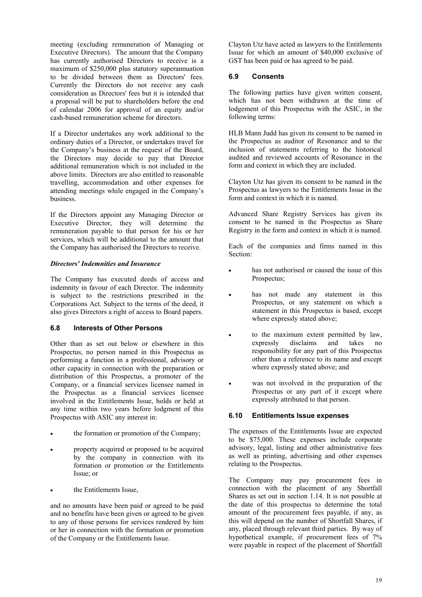meeting (excluding remuneration of Managing or Executive Directors). The amount that the Company has currently authorised Directors to receive is a maximum of \$250,000 plus statutory superannuation to be divided between them as Directors' fees. Currently the Directors do not receive any cash consideration as Directors' fees but it is intended that a proposal will be put to shareholders before the end of calendar 2006 for approval of an equity and/or cash-based remuneration scheme for directors.

If a Director undertakes any work additional to the ordinary duties of a Director, or undertakes travel for the Company's business at the request of the Board, the Directors may decide to pay that Director additional remuneration which is not included in the above limits. Directors are also entitled to reasonable travelling, accommodation and other expenses for attending meetings while engaged in the Company's business.

If the Directors appoint any Managing Director or Executive Director, they will determine the remuneration payable to that person for his or her services, which will be additional to the amount that the Company has authorised the Directors to receive.

#### *Directors' Indemnities and Insurance*

The Company has executed deeds of access and indemnity in favour of each Director. The indemnity is subject to the restrictions prescribed in the Corporations Act. Subject to the terms of the deed, it also gives Directors a right of access to Board papers.

# **6.8 Interests of Other Persons**

Other than as set out below or elsewhere in this Prospectus, no person named in this Prospectus as performing a function in a professional, advisory or other capacity in connection with the preparation or distribution of this Prospectus, a promoter of the Company, or a financial services licensee named in the Prospectus as a financial services licensee involved in the Entitlements Issue, holds or held at any time within two years before lodgment of this Prospectus with ASIC any interest in:

- the formation or promotion of the Company;
- property acquired or proposed to be acquired by the company in connection with its formation or promotion or the Entitlements Issue; or
- the Entitlements Issue,

and no amounts have been paid or agreed to be paid and no benefits have been given or agreed to be given to any of those persons for services rendered by him or her in connection with the formation or promotion of the Company or the Entitlements Issue.

Clayton Utz have acted as lawyers to the Entitlements Issue for which an amount of \$40,000 exclusive of GST has been paid or has agreed to be paid.

# **6.9 Consents**

The following parties have given written consent, which has not been withdrawn at the time of lodgement of this Prospectus with the ASIC, in the following terms:

HLB Mann Judd has given its consent to be named in the Prospectus as auditor of Resonance and to the inclusion of statements referring to the historical audited and reviewed accounts of Resonance in the form and context in which they are included.

Clayton Utz has given its consent to be named in the Prospectus as lawyers to the Entitlements Issue in the form and context in which it is named.

Advanced Share Registry Services has given its consent to be named in the Prospectus as Share Registry in the form and context in which it is named.

Each of the companies and firms named in this Section:

- has not authorised or caused the issue of this Prospectus;
- has not made any statement in this Prospectus, or any statement on which a statement in this Prospectus is based, except where expressly stated above;
- to the maximum extent permitted by law, expressly disclaims and takes no responsibility for any part of this Prospectus other than a reference to its name and except where expressly stated above; and
- was not involved in the preparation of the Prospectus or any part of it except where expressly attributed to that person.

# **6.10 Entitlements Issue expenses**

The expenses of the Entitlements Issue are expected to be \$75,000. These expenses include corporate advisory, legal, listing and other administrative fees as well as printing, advertising and other expenses relating to the Prospectus.

The Company may pay procurement fees in connection with the placement of any Shortfall Shares as set out in section 1.14. It is not possible at the date of this prospectus to determine the total amount of the procurement fees payable, if any, as this will depend on the number of Shortfall Shares, if any, placed through relevant third parties. By way of hypothetical example, if procurement fees of 7% were payable in respect of the placement of Shortfall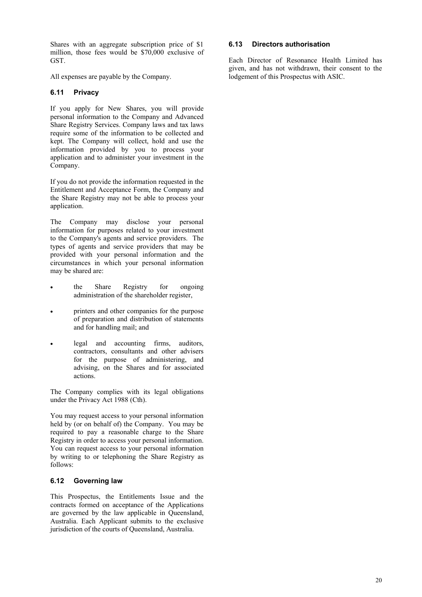Shares with an aggregate subscription price of \$1 million, those fees would be \$70,000 exclusive of GST.

All expenses are payable by the Company.

# **6.11 Privacy**

If you apply for New Shares, you will provide personal information to the Company and Advanced Share Registry Services. Company laws and tax laws require some of the information to be collected and kept. The Company will collect, hold and use the information provided by you to process your application and to administer your investment in the Company.

If you do not provide the information requested in the Entitlement and Acceptance Form, the Company and the Share Registry may not be able to process your application.

The Company may disclose your personal information for purposes related to your investment to the Company's agents and service providers. The types of agents and service providers that may be provided with your personal information and the circumstances in which your personal information may be shared are:

- the Share Registry for ongoing administration of the shareholder register,
- printers and other companies for the purpose of preparation and distribution of statements and for handling mail; and
- legal and accounting firms, auditors, contractors, consultants and other advisers for the purpose of administering, and advising, on the Shares and for associated actions.

The Company complies with its legal obligations under the Privacy Act 1988 (Cth).

You may request access to your personal information held by (or on behalf of) the Company. You may be required to pay a reasonable charge to the Share Registry in order to access your personal information. You can request access to your personal information by writing to or telephoning the Share Registry as follows:

#### **6.12 Governing law**

This Prospectus, the Entitlements Issue and the contracts formed on acceptance of the Applications are governed by the law applicable in Queensland, Australia. Each Applicant submits to the exclusive jurisdiction of the courts of Queensland, Australia.

## **6.13 Directors authorisation**

Each Director of Resonance Health Limited has given, and has not withdrawn, their consent to the lodgement of this Prospectus with ASIC.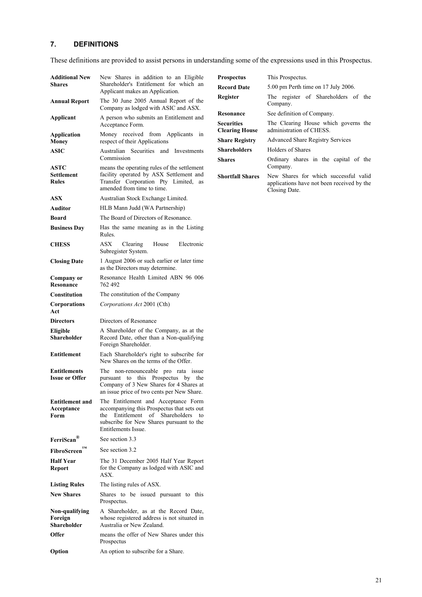# **7. DEFINITIONS**

These definitions are provided to assist persons in understanding some of the expressions used in this Prospectus.

| <b>Additional New</b><br><b>Shares</b>       | New Shares in addition to an Eligible<br>Shareholder's Entitlement for which an<br>Applicant makes an Application.                                                                               |
|----------------------------------------------|--------------------------------------------------------------------------------------------------------------------------------------------------------------------------------------------------|
| <b>Annual Report</b>                         | The 30 June 2005 Annual Report of the<br>Company as lodged with ASIC and ASX.                                                                                                                    |
| <b>Applicant</b>                             | A person who submits an Entitlement and<br>Acceptance Form.                                                                                                                                      |
| <b>Application</b><br>Money                  | Money received from Applicants<br>in<br>respect of their Applications                                                                                                                            |
| <b>ASIC</b>                                  | Australian Securities<br>and Investments<br>Commission                                                                                                                                           |
| ASTC<br><b>Settlement</b><br>Rules           | means the operating rules of the settlement<br>facility operated by ASX Settlement and<br>Transfer Corporation Pty Limited,<br>as<br>amended from time to time.                                  |
| ASX                                          | Australian Stock Exchange Limited.                                                                                                                                                               |
| <b>Auditor</b>                               | HLB Mann Judd (WA Partnership)                                                                                                                                                                   |
| <b>Board</b>                                 | The Board of Directors of Resonance.                                                                                                                                                             |
| <b>Business Day</b>                          | Has the same meaning as in the Listing<br>Rules.                                                                                                                                                 |
| <b>CHESS</b>                                 | ASX<br>House<br>Electronic<br>Clearing<br>Subregister System.                                                                                                                                    |
| <b>Closing Date</b>                          | 1 August 2006 or such earlier or later time<br>as the Directors may determine.                                                                                                                   |
| Company or<br><b>Resonance</b>               | Resonance Health Limited ABN 96 006<br>762 492                                                                                                                                                   |
| <b>Constitution</b>                          | The constitution of the Company                                                                                                                                                                  |
| <b>Corporations</b><br>Act                   | Corporations Act 2001 (Cth)                                                                                                                                                                      |
| <b>Directors</b>                             | Directors of Resonance                                                                                                                                                                           |
|                                              |                                                                                                                                                                                                  |
| <b>Eligible</b><br><b>Shareholder</b>        | A Shareholder of the Company, as at the<br>Record Date, other than a Non-qualifying<br>Foreign Shareholder.                                                                                      |
| <b>Entitlement</b>                           | Each Shareholder's right to subscribe for<br>New Shares on the terms of the Offer.                                                                                                               |
| <b>Entitlements</b><br><b>Issue or Offer</b> | The<br>non-renounceable pro rata issue<br>pursuant to this Prospectus by the<br>Company of 3 New Shares for 4 Shares at<br>an issue price of two cents per New Share.                            |
| <b>Entitlement and</b><br>Acceptance<br>Form | The Entitlement and Acceptance Form<br>accompanying this Prospectus that sets out<br>Entitlement of Shareholders<br>the<br>to<br>subscribe for New Shares pursuant to the<br>Entitlements Issue. |
| FerriScan <sup>®</sup>                       | See section 3.3                                                                                                                                                                                  |
| FibroScreen                                  | See section 3.2                                                                                                                                                                                  |
| <b>Half Year</b><br>Report                   | The 31 December 2005 Half Year Report<br>for the Company as lodged with ASIC and<br>ASX.                                                                                                         |
| <b>Listing Rules</b>                         | The listing rules of ASX.                                                                                                                                                                        |
| <b>New Shares</b>                            | Shares to be issued pursuant to this<br>Prospectus.                                                                                                                                              |
| Non-qualifying<br>Foreign<br>Shareholder     | A Shareholder, as at the Record Date,<br>whose registered address is not situated in<br>Australia or New Zealand.                                                                                |
| <b>Offer</b>                                 | means the offer of New Shares under this<br>Prospectus                                                                                                                                           |

| <b>Prospectus</b>                   | This Prospectus.                                                                                     |
|-------------------------------------|------------------------------------------------------------------------------------------------------|
| <b>Record Date</b>                  | 5.00 pm Perth time on 17 July 2006.                                                                  |
| Register                            | The register of Shareholders of the<br>Company.                                                      |
| Resonance                           | See definition of Company.                                                                           |
| Securities<br><b>Clearing House</b> | The Clearing House which governs the<br>administration of CHESS                                      |
| <b>Share Registry</b>               | <b>Advanced Share Registry Services</b>                                                              |
| <b>Shareholders</b>                 | Holders of Shares                                                                                    |
| <b>Shares</b>                       | Ordinary shares in the capital of the<br>Company.                                                    |
| <b>Shortfall Shares</b>             | New Shares for which successful valid<br>applications have not been received by the<br>Closing Date. |